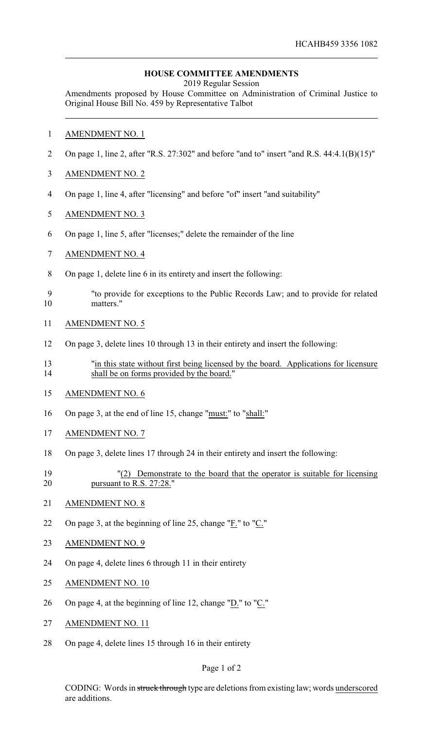## **HOUSE COMMITTEE AMENDMENTS**

2019 Regular Session

Amendments proposed by House Committee on Administration of Criminal Justice to Original House Bill No. 459 by Representative Talbot

- AMENDMENT NO. 1
- On page 1, line 2, after "R.S. 27:302" and before "and to" insert "and R.S. 44:4.1(B)(15)"
- AMENDMENT NO. 2
- On page 1, line 4, after "licensing" and before "of" insert "and suitability"
- AMENDMENT NO. 3
- On page 1, line 5, after "licenses;" delete the remainder of the line
- AMENDMENT NO. 4
- On page 1, delete line 6 in its entirety and insert the following:
- "to provide for exceptions to the Public Records Law; and to provide for related matters."
- AMENDMENT NO. 5
- On page 3, delete lines 10 through 13 in their entirety and insert the following:
- "in this state without first being licensed by the board. Applications for licensure shall be on forms provided by the board."
- AMENDMENT NO. 6
- On page 3, at the end of line 15, change "must:" to "shall:"
- AMENDMENT NO. 7
- On page 3, delete lines 17 through 24 in their entirety and insert the following:
- "(2) Demonstrate to the board that the operator is suitable for licensing pursuant to R.S. 27:28."
- 21 AMENDMENT NO. 8
- On page 3, at the beginning of line 25, change "F." to "C."
- AMENDMENT NO. 9
- On page 4, delete lines 6 through 11 in their entirety
- AMENDMENT NO. 10
- 26 On page 4, at the beginning of line 12, change " $D$ ." to " $C$ ."
- AMENDMENT NO. 11
- On page 4, delete lines 15 through 16 in their entirety

## Page 1 of 2

CODING: Words in struck through type are deletions from existing law; words underscored are additions.